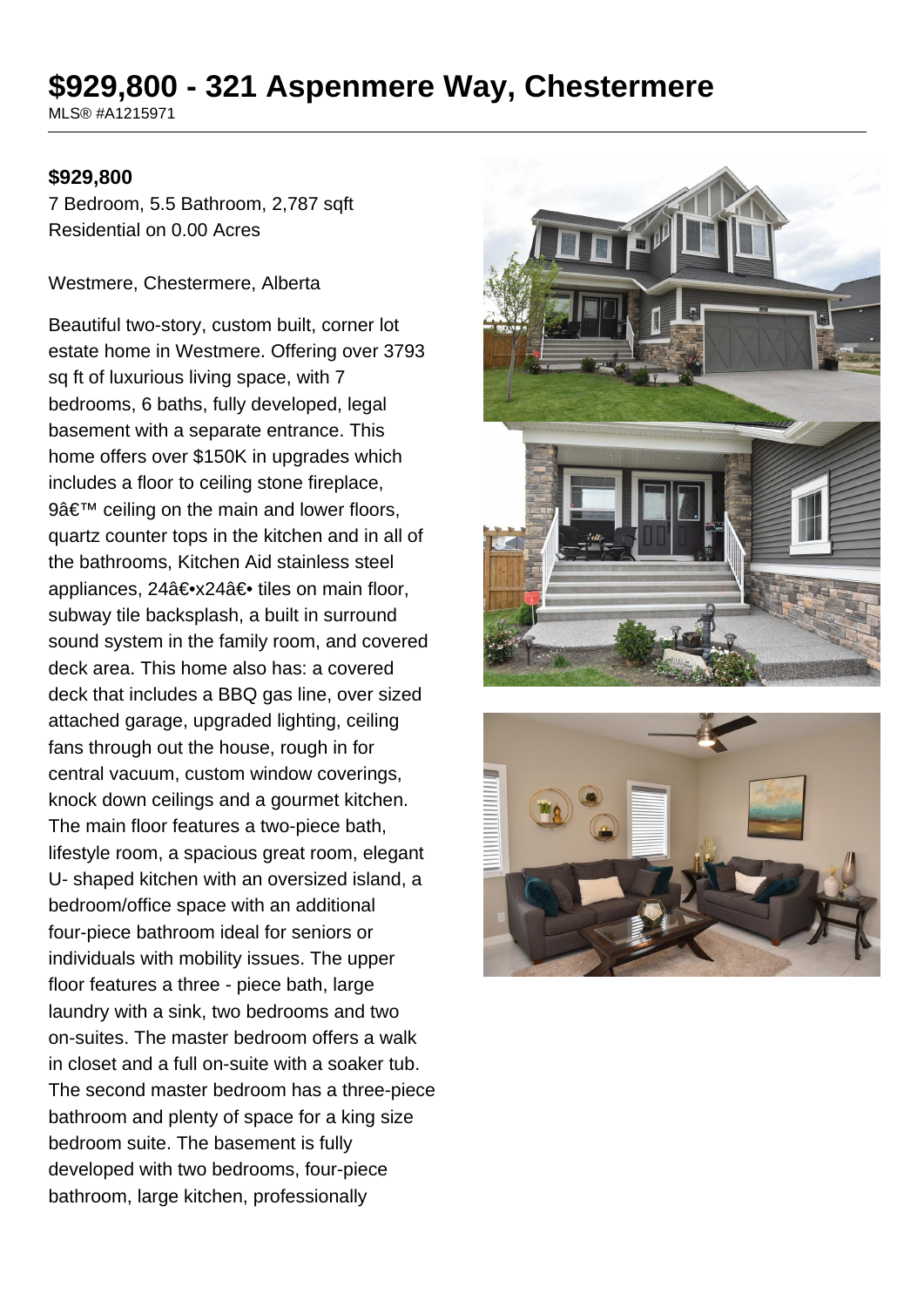# **\$929,800 - 321 Aspenmere Way, Chestermere**

MLS® #A1215971

#### **\$929,800**

7 Bedroom, 5.5 Bathroom, 2,787 sqft Residential on 0.00 Acres

Westmere, Chestermere, Alberta

Beautiful two-story, custom built, corner lot estate home in Westmere. Offering over 3793 sq ft of luxurious living space, with 7 bedrooms, 6 baths, fully developed, legal basement with a separate entrance. This home offers over \$150K in upgrades which includes a floor to ceiling stone fireplace, 9â€<sup>™</sup> ceiling on the main and lower floors, quartz counter tops in the kitchen and in all of the bathrooms, Kitchen Aid stainless steel appliances, 24―x24― tiles on main floor, subway tile backsplash, a built in surround sound system in the family room, and covered deck area. This home also has: a covered deck that includes a BBQ gas line, over sized attached garage, upgraded lighting, ceiling fans through out the house, rough in for central vacuum, custom window coverings, knock down ceilings and a gourmet kitchen. The main floor features a two-piece bath, lifestyle room, a spacious great room, elegant U- shaped kitchen with an oversized island, a bedroom/office space with an additional four-piece bathroom ideal for seniors or individuals with mobility issues. The upper floor features a three - piece bath, large laundry with a sink, two bedrooms and two on-suites. The master bedroom offers a walk in closet and a full on-suite with a soaker tub. The second master bedroom has a three-piece bathroom and plenty of space for a king size bedroom suite. The basement is fully developed with two bedrooms, four-piece bathroom, large kitchen, professionally



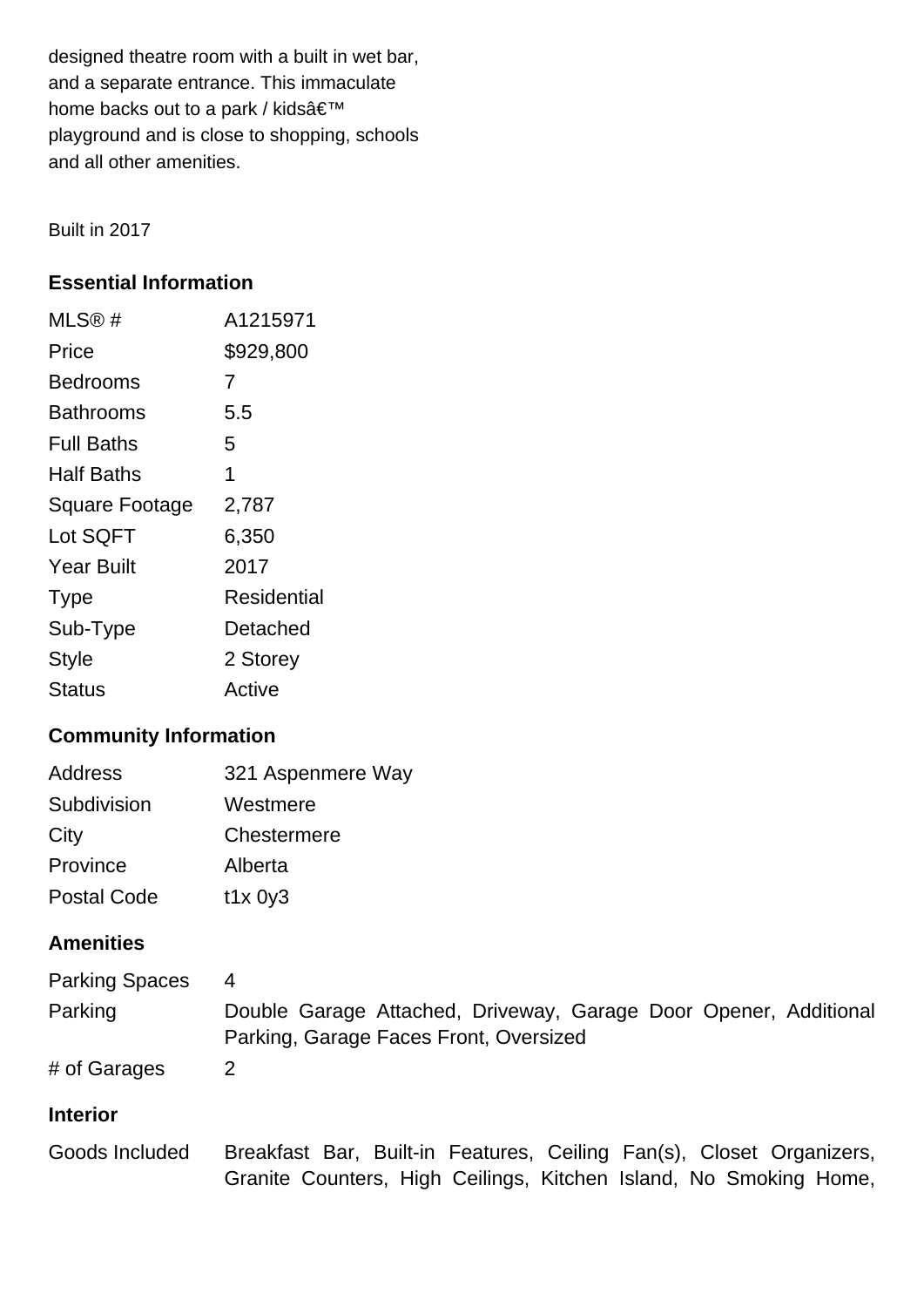designed theatre room with a built in wet bar, and a separate entrance. This immaculate home backs out to a park / kids' playground and is close to shopping, schools and all other amenities.

Built in 2017

### **Essential Information**

| MLS@#                 | A1215971    |
|-----------------------|-------------|
| Price                 | \$929,800   |
| Bedrooms              | 7           |
| Bathrooms             | 5.5         |
| <b>Full Baths</b>     | 5           |
| Half Baths            | 1           |
| <b>Square Footage</b> | 2,787       |
| Lot SQFT              | 6,350       |
| <b>Year Built</b>     | 2017        |
| <b>Type</b>           | Residential |
| Sub-Type              | Detached    |
| <b>Style</b>          | 2 Storey    |
| Status                | Active      |

#### **Community Information**

| Address            | 321 Aspenmere Way |
|--------------------|-------------------|
| Subdivision        | Westmere          |
| City               | Chestermere       |
| Province           | Alberta           |
| <b>Postal Code</b> | t1x0y3            |

#### **Amenities**

| <b>Parking Spaces</b><br>Parking | 4<br>Double Garage Attached, Driveway, Garage Door Opener, Additional<br>Parking, Garage Faces Front, Oversized                           |
|----------------------------------|-------------------------------------------------------------------------------------------------------------------------------------------|
| # of Garages                     | 2                                                                                                                                         |
| <b>Interior</b>                  |                                                                                                                                           |
| Goods Included                   | Breakfast Bar, Built-in Features, Ceiling Fan(s), Closet Organizers,<br>Granite Counters, High Ceilings, Kitchen Island, No Smoking Home, |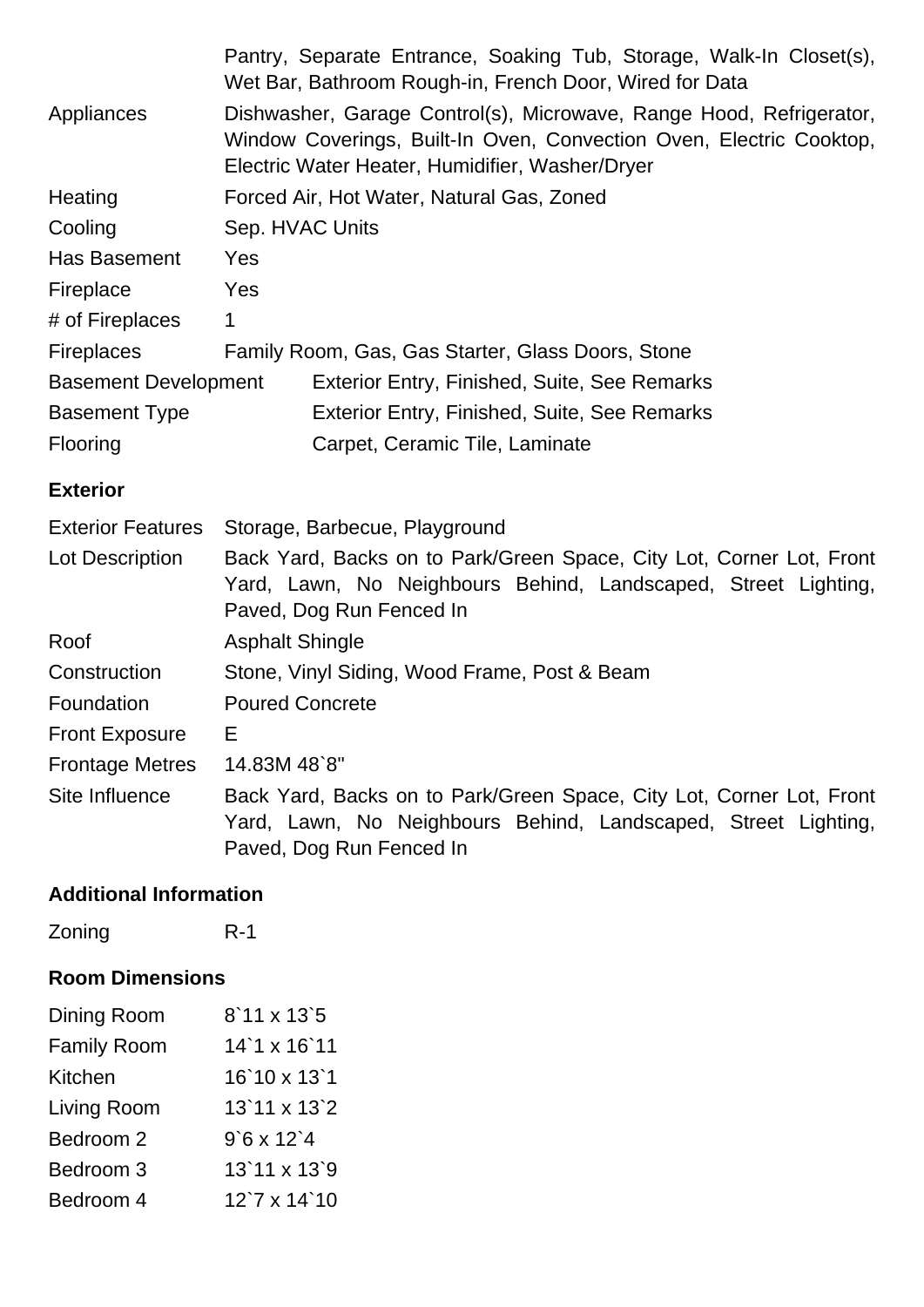|                             |                                           | Pantry, Separate Entrance, Soaking Tub, Storage, Walk-In Closet(s),<br>Wet Bar, Bathroom Rough-in, French Door, Wired for Data                                                                |
|-----------------------------|-------------------------------------------|-----------------------------------------------------------------------------------------------------------------------------------------------------------------------------------------------|
| Appliances                  |                                           | Dishwasher, Garage Control(s), Microwave, Range Hood, Refrigerator,<br>Window Coverings, Built-In Oven, Convection Oven, Electric Cooktop,<br>Electric Water Heater, Humidifier, Washer/Dryer |
| Heating                     | Forced Air, Hot Water, Natural Gas, Zoned |                                                                                                                                                                                               |
| Cooling                     | Sep. HVAC Units                           |                                                                                                                                                                                               |
| Has Basement                | Yes                                       |                                                                                                                                                                                               |
| Fireplace                   | Yes                                       |                                                                                                                                                                                               |
| # of Fireplaces             | 1                                         |                                                                                                                                                                                               |
| <b>Fireplaces</b>           |                                           | Family Room, Gas, Gas Starter, Glass Doors, Stone                                                                                                                                             |
| <b>Basement Development</b> |                                           | Exterior Entry, Finished, Suite, See Remarks                                                                                                                                                  |
| <b>Basement Type</b>        |                                           | Exterior Entry, Finished, Suite, See Remarks                                                                                                                                                  |
| <b>Flooring</b>             |                                           | Carpet, Ceramic Tile, Laminate                                                                                                                                                                |

## **Exterior**

| <b>Exterior Features</b> | Storage, Barbecue, Playground                                                                                                                                      |  |  |  |
|--------------------------|--------------------------------------------------------------------------------------------------------------------------------------------------------------------|--|--|--|
| Lot Description          | Back Yard, Backs on to Park/Green Space, City Lot, Corner Lot, Front<br>Yard, Lawn, No Neighbours Behind, Landscaped, Street Lighting,<br>Paved, Dog Run Fenced In |  |  |  |
| Roof                     | <b>Asphalt Shingle</b>                                                                                                                                             |  |  |  |
| Construction             | Stone, Vinyl Siding, Wood Frame, Post & Beam                                                                                                                       |  |  |  |
| Foundation               | <b>Poured Concrete</b>                                                                                                                                             |  |  |  |
| <b>Front Exposure</b>    | Е                                                                                                                                                                  |  |  |  |
| <b>Frontage Metres</b>   | 14.83M 48`8"                                                                                                                                                       |  |  |  |
| Site Influence           | Back Yard, Backs on to Park/Green Space, City Lot, Corner Lot, Front<br>Yard, Lawn, No Neighbours Behind, Landscaped, Street Lighting,<br>Paved, Dog Run Fenced In |  |  |  |

## **Additional Information**

Zoning R-1

## **Room Dimensions**

| Dining Room        | 8'11 x 13'5         |
|--------------------|---------------------|
| <b>Family Room</b> | 14 1 x 16 11        |
| Kitchen            | 16'10 x 13'1        |
| Living Room        | $13'11 \times 13'2$ |
| Bedroom 2          | $9'6 \times 12'4$   |
| Bedroom 3          | 13'11 x 13'9        |
| Bedroom 4          | 12`7 x 14`10        |